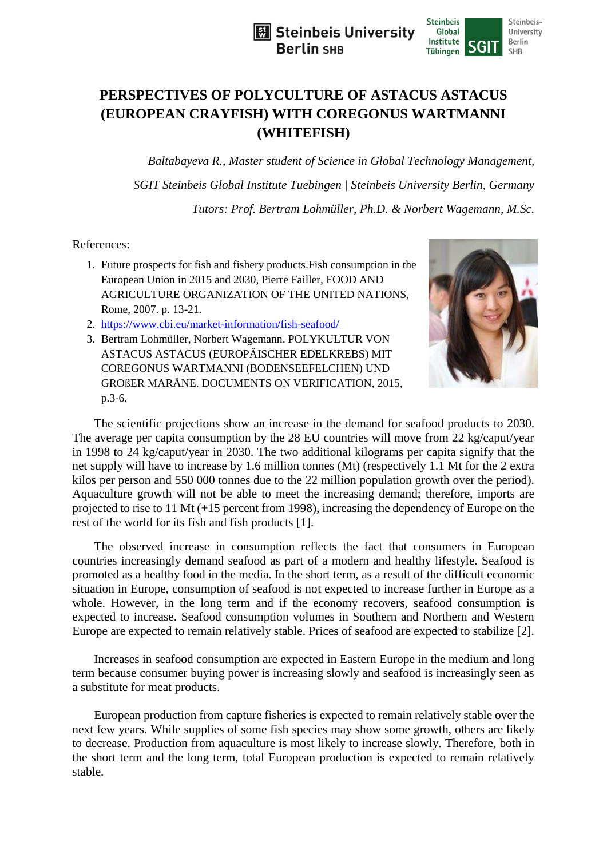



## **PERSPECTIVES OF POLYCULTURE OF ASTACUS ASTACUS (EUROPEAN CRAYFISH) WITH COREGONUS WARTMANNI (WHITEFISH)**

*Baltabayeva R., Master student of Science in Global Technology Management, SGIT Steinbeis Global Institute Tuebingen | Steinbeis University Berlin, Germany Tutors: Prof. Bertram Lohmüller, Ph.D. & Norbert Wagemann, M.Sc.* 

References:

- 1. Future prospects for fish and fishery products.Fish consumption in the European Union in 2015 and 2030, Pierre Failler, FOOD AND AGRICULTURE ORGANIZATION OF THE UNITED NATIONS, Rome, 2007. p. 13-21.
- 2. <https://www.cbi.eu/market-information/fish-seafood/>
- 3. Bertram Lohmüller, Norbert Wagemann. POLYKULTUR VON ASTACUS ASTACUS (EUROPÄISCHER EDELKREBS) MIT COREGONUS WARTMANNI (BODENSEEFELCHEN) UND GROßER MARÄNE. DOCUMENTS ON VERIFICATION, 2015, p.3-6.



The scientific projections show an increase in the demand for seafood products to 2030. The average per capita consumption by the 28 EU countries will move from 22 kg/caput/year in 1998 to 24 kg/caput/year in 2030. The two additional kilograms per capita signify that the net supply will have to increase by 1.6 million tonnes (Mt) (respectively 1.1 Mt for the 2 extra kilos per person and 550 000 tonnes due to the 22 million population growth over the period). Aquaculture growth will not be able to meet the increasing demand; therefore, imports are projected to rise to 11 Mt (+15 percent from 1998), increasing the dependency of Europe on the rest of the world for its fish and fish products [1].

The observed increase in consumption reflects the fact that consumers in European countries increasingly demand seafood as part of a modern and healthy lifestyle. Seafood is promoted as a healthy food in the media. In the short term, as a result of the difficult economic situation in Europe, consumption of seafood is not expected to increase further in Europe as a whole. However, in the long term and if the economy recovers, seafood consumption is expected to increase. Seafood consumption volumes in Southern and Northern and Western Europe are expected to remain relatively stable. Prices of seafood are expected to stabilize [2].

Increases in seafood consumption are expected in Eastern Europe in the medium and long term because consumer buying power is increasing slowly and seafood is increasingly seen as a substitute for meat products.

European production from capture fisheries is expected to remain relatively stable over the next few years. While supplies of some fish species may show some growth, others are likely to decrease. Production from aquaculture is most likely to increase slowly. Therefore, both in the short term and the long term, total European production is expected to remain relatively stable.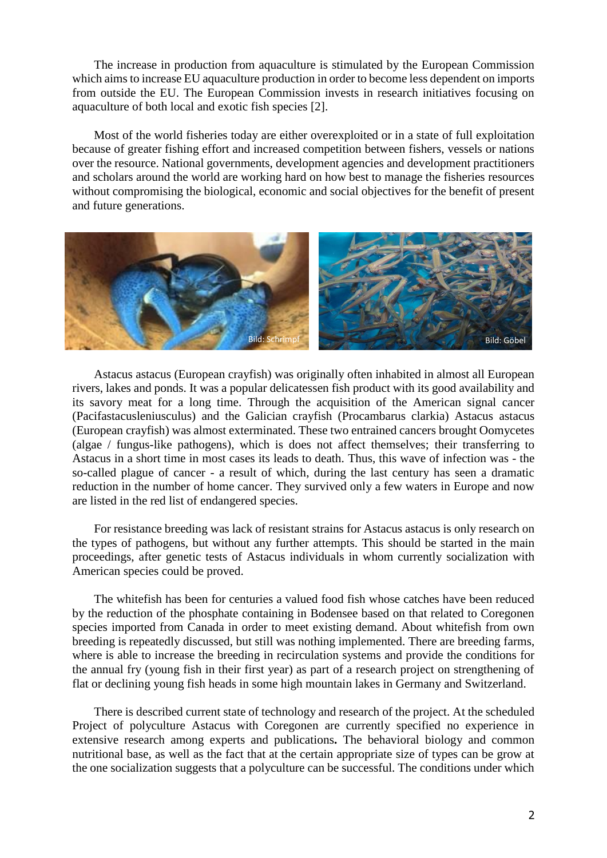The increase in production from aquaculture is stimulated by the European Commission which aims to increase EU aquaculture production in order to become less dependent on imports from outside the EU. The European Commission invests in research initiatives focusing on aquaculture of both local and exotic fish species [2].

Most of the world fisheries today are either overexploited or in a state of full exploitation because of greater fishing effort and increased competition between fishers, vessels or nations over the resource. National governments, development agencies and development practitioners and scholars around the world are working hard on how best to manage the fisheries resources without compromising the biological, economic and social objectives for the benefit of present and future generations.



Astacus astacus (European crayfish) was originally often inhabited in almost all European rivers, lakes and ponds. It was a popular delicatessen fish product with its good availability and its savory meat for a long time. Through the acquisition of the American signal cancer (Pacifastacusleniusculus) and the Galician crayfish (Procambarus clarkia) Astacus astacus (European crayfish) was almost exterminated. These two entrained cancers brought Oomycetes (algae / fungus-like pathogens), which is does not affect themselves; their transferring to Astacus in a short time in most cases its leads to death. Thus, this wave of infection was - the so-called plague of cancer - a result of which, during the last century has seen a dramatic reduction in the number of home cancer. They survived only a few waters in Europe and now are listed in the red list of endangered species.

For resistance breeding was lack of resistant strains for Astacus astacus is only research on the types of pathogens, but without any further attempts. This should be started in the main proceedings, after genetic tests of Astacus individuals in whom currently socialization with American species could be proved.

The whitefish has been for centuries a valued food fish whose catches have been reduced by the reduction of the phosphate containing in Bodensee based on that related to Coregonen species imported from Canada in order to meet existing demand. About whitefish from own breeding is repeatedly discussed, but still was nothing implemented. There are breeding farms, where is able to increase the breeding in recirculation systems and provide the conditions for the annual fry (young fish in their first year) as part of a research project on strengthening of flat or declining young fish heads in some high mountain lakes in Germany and Switzerland.

There is described current state of technology and research of the project. At the scheduled Project of polyculture Astacus with Coregonen are currently specified no experience in extensive research among experts and publications**.** The behavioral biology and common nutritional base, as well as the fact that at the certain appropriate size of types can be grow at the one socialization suggests that a polyculture can be successful. The conditions under which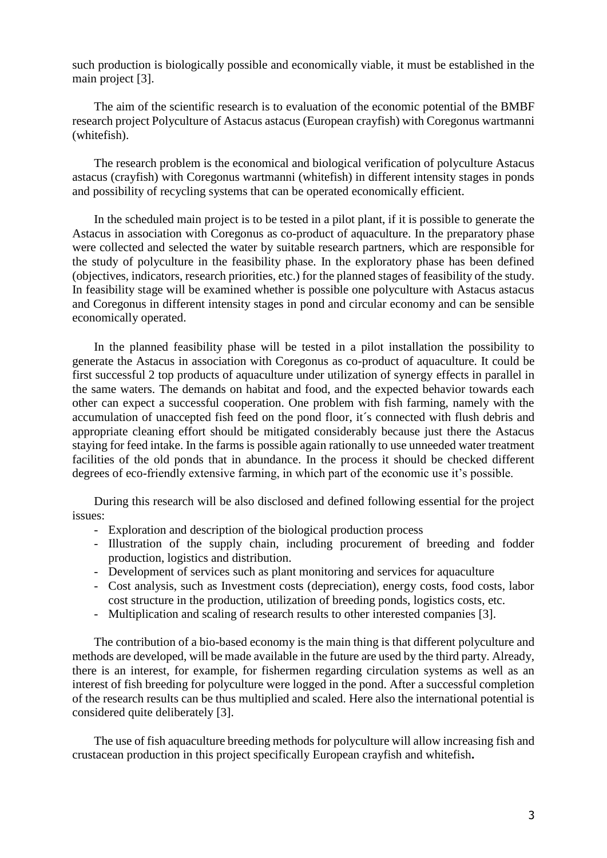such production is biologically possible and economically viable, it must be established in the main project [3].

The aim of the scientific research is to evaluation of the economic potential of the BMBF research project Polyculture of Astacus astacus (European crayfish) with Coregonus wartmanni (whitefish).

The research problem is the economical and biological verification of polyculture Astacus astacus (crayfish) with Coregonus wartmanni (whitefish) in different intensity stages in ponds and possibility of recycling systems that can be operated economically efficient.

In the scheduled main project is to be tested in a pilot plant, if it is possible to generate the Astacus in association with Coregonus as co-product of aquaculture. In the preparatory phase were collected and selected the water by suitable research partners, which are responsible for the study of polyculture in the feasibility phase. In the exploratory phase has been defined (objectives, indicators, research priorities, etc.) for the planned stages of feasibility of the study. In feasibility stage will be examined whether is possible one polyculture with Astacus astacus and Coregonus in different intensity stages in pond and circular economy and can be sensible economically operated.

In the planned feasibility phase will be tested in a pilot installation the possibility to generate the Astacus in association with Coregonus as co-product of aquaculture. It could be first successful 2 top products of aquaculture under utilization of synergy effects in parallel in the same waters. The demands on habitat and food, and the expected behavior towards each other can expect a successful cooperation. One problem with fish farming, namely with the accumulation of unaccepted fish feed on the pond floor, it´s connected with flush debris and appropriate cleaning effort should be mitigated considerably because just there the Astacus staying for feed intake. In the farms is possible again rationally to use unneeded water treatment facilities of the old ponds that in abundance. In the process it should be checked different degrees of eco-friendly extensive farming, in which part of the economic use it's possible.

During this research will be also disclosed and defined following essential for the project issues:

- Exploration and description of the biological production process
- Illustration of the supply chain, including procurement of breeding and fodder production, logistics and distribution.
- Development of services such as plant monitoring and services for aquaculture
- Cost analysis, such as Investment costs (depreciation), energy costs, food costs, labor cost structure in the production, utilization of breeding ponds, logistics costs, etc.
- Multiplication and scaling of research results to other interested companies [3].

The contribution of a bio-based economy is the main thing is that different polyculture and methods are developed, will be made available in the future are used by the third party. Already, there is an interest, for example, for fishermen regarding circulation systems as well as an interest of fish breeding for polyculture were logged in the pond. After a successful completion of the research results can be thus multiplied and scaled. Here also the international potential is considered quite deliberately [3].

The use of fish aquaculture breeding methods for polyculture will allow increasing fish and crustacean production in this project specifically European crayfish and whitefish**.**